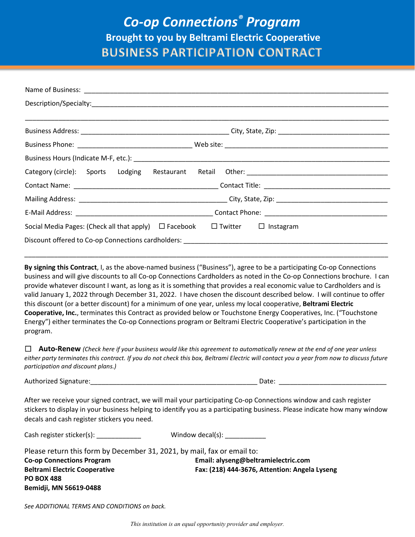## *Co-op Connections® Program* **Brought to you by Beltrami Electric Cooperative BUSINESS PARTICIPATION CONTRACT**

| Social Media Pages: (Check all that apply) $\Box$ Facebook<br>$\Box$ Twitter $\Box$ Instagram                                  |  |  |  |  |  |  |  |  |
|--------------------------------------------------------------------------------------------------------------------------------|--|--|--|--|--|--|--|--|
| Discount offered to Co-op Connections cardholders: National Connection of the Connection of the Co-op Connections cardholders: |  |  |  |  |  |  |  |  |

**By signing this Contract**, I, as the above-named business ("Business"), agree to be a participating Co-op Connections business and will give discounts to all Co-op Connections Cardholders as noted in the Co-op Connections brochure. I can provide whatever discount I want, as long as it is something that provides a real economic value to Cardholders and is valid January 1, 2022 through December 31, 2022. I have chosen the discount described below. I will continue to offer this discount (or a better discount) for a minimum of one year, unless my local cooperative, **Beltrami Electric Cooperative, Inc.**, terminates this Contract as provided below or Touchstone Energy Cooperatives, Inc. ("Touchstone Energy") either terminates the Co-op Connections program or Beltrami Electric Cooperative's participation in the program.

\_\_\_\_\_\_\_\_\_\_\_\_\_\_\_\_\_\_\_\_\_\_\_\_\_\_\_\_\_\_\_\_\_\_\_\_\_\_\_\_\_\_\_\_\_\_\_\_\_\_\_\_\_\_\_\_\_\_\_\_\_\_\_\_\_\_\_\_\_\_\_\_\_\_\_\_\_\_\_\_\_\_\_\_\_\_\_\_\_\_\_\_\_\_\_\_\_\_

☐ **Auto-Renew** *(Check here if your business would like this agreement to automatically renew at the end of one year unless either party terminates this contract. If you do not check this box, Beltrami Electric will contact you a year from now to discuss future participation and discount plans.)*

Authorized Signature:  $\Box$ 

After we receive your signed contract, we will mail your participating Co-op Connections window and cash register stickers to display in your business helping to identify you as a participating business. Please indicate how many window decals and cash register stickers you need.

| Cash register sticker(s):                                               | Window decal(s):                              |
|-------------------------------------------------------------------------|-----------------------------------------------|
| Please return this form by December 31, 2021, by mail, fax or email to: |                                               |
| <b>Co-op Connections Program</b>                                        | Email: alyseng@beltramielectric.com           |
| <b>Beltrami Electric Cooperative</b>                                    | Fax: (218) 444-3676, Attention: Angela Lyseng |
| <b>PO BOX 488</b>                                                       |                                               |
| Bemidji, MN 56619-0488                                                  |                                               |

*See ADDITIONAL TERMS AND CONDITIONS on back.*